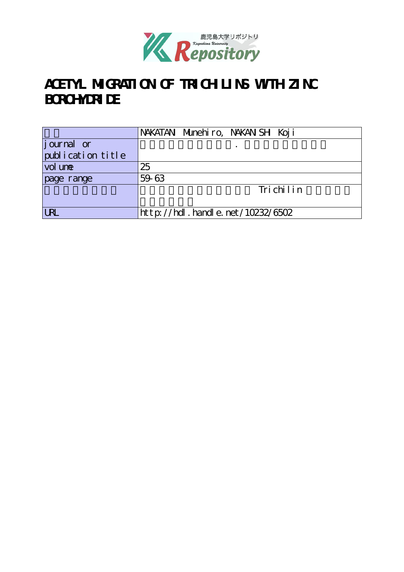

# **ACETYL MIGRATION OF TRICHILINS WITH ZINC BOROHYDRIDE**

|                   | NAKATAN Munehiro, NAKAN SH Koji  |  |  |  |  |  |
|-------------------|----------------------------------|--|--|--|--|--|
| journal or        |                                  |  |  |  |  |  |
| publication title |                                  |  |  |  |  |  |
| vol une           | 25                               |  |  |  |  |  |
| page range        | 59-63                            |  |  |  |  |  |
|                   | Trichilin                        |  |  |  |  |  |
|                   |                                  |  |  |  |  |  |
| <b>URL</b>        | http://hdl.handle.net/10232/6502 |  |  |  |  |  |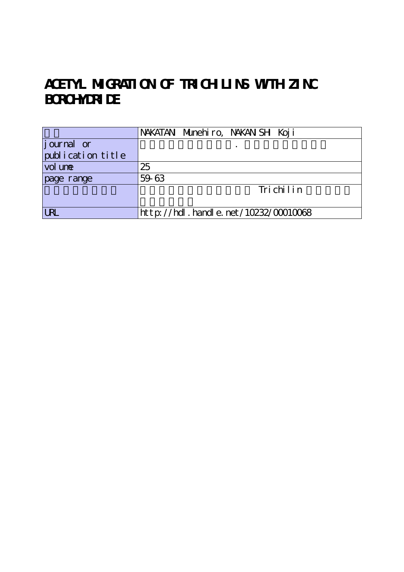# **ACETYL MIGRATION OF TRICHILINS WITH ZINC BOROHYDRIDE**

|                   | NAKATAN Munehiro, NAKAN SH Koji          |
|-------------------|------------------------------------------|
| journal or        |                                          |
| publication title |                                          |
| vol une           | 25                                       |
| page range        | 59-63                                    |
|                   | Trichilin                                |
|                   |                                          |
| <b>URL</b>        | $http://hdl. handle. net/10232/00010068$ |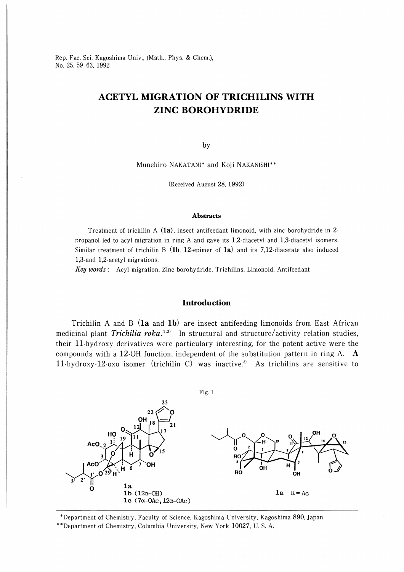Rep. Fac. Sci. Kagoshima Univ., (Math., Phys. & Chem.), No. 25, 59-63, 1992

## ACETYL MIGRATION OF TRICHILINS WITH ZINC BOROHYDRIDE

by

Munehiro NAKATANI\* and Koji NAKANISHI\*

(Received August 28, 1992)

#### Abstracts

Treatment of trichilin A  $(1a)$ , insect antifeedant limonoid, with zinc borohydride in 2propanol led to acyl migration in ring A and gave its 1,2-diacetyl and 1,3-diacetyl isomers. Similar treatment of trichilin B (1b, 12-epimer of 1a) and its 7.12-diacetate also induced 1,3-and 1,2-acetyl migrations.

Key words : Acyl migration, Zinc borohydride, Trichilins, Limonoid, Antifeedant

### **Introduction**

Trichilin A and B  $(1a$  and  $1b)$  are insect antifeeding limonoids from East African medicinal plant *Trichilia roka*.<sup>1,2)</sup> In structural and structure/activity relation studies, their ll-hydroxy derivatives were particulary interesting, for the potent active were the compounds with a 12-0H function, independent of the substitution pattern in ring A. 11-hydroxy-12-oxo isomer (trichilin C) was inactive.<sup>3)</sup> As trichilins are sensitive to



'Department of Chemistry, Faculty of Science, Kagoshima University, Kagoshima 890, Japan

Department of Chemistry, Columbia University, New York 10027, U. S. A.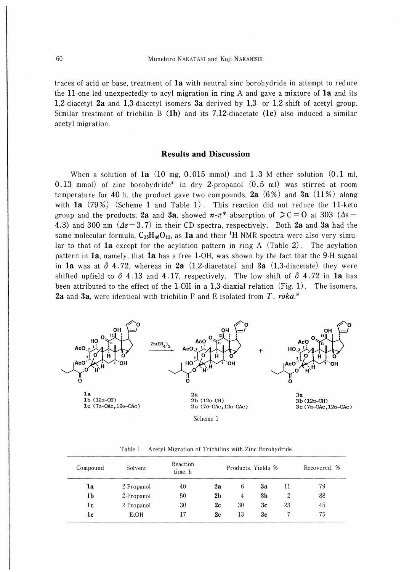traces of acid or base, treatment of la with neutral zinc borohydride in attempt to reduce the 11-one led unexpectedly to acyl migration in ring A and gave a mixture of  $1a$  and its 1,2-diacetyl 2a and 1,3-diacetyl isomers 3a derived by 1,3- or 1,2-shift of acetyl group. Similar treatment of trichilin B  $(1b)$  and its 7,12-diacetate  $(1c)$  also induced a similar acetyl migration.

### Results and Discussion

When a solution of  $1a(10 \text{ mg}, 0.015 \text{ mmol})$  and  $1.3$  M ether solution  $(0.1 \text{ ml},$ 0.13 mmol) of zinc borohydride<sup>4)</sup> in dry 2-propanol  $(0.5 \text{ ml})$  was stirred at room temperature for 40 h, the product gave two compounds, 2a  $(6%)$  and 3a  $(11%)$  along with  $1a$  (79%) (Scheme 1 and Table 1). This reaction did not reduce the 11-keto group and the products, **2a** and **3a**, showed  $n-\pi$ <sup>\*</sup> absorption of  $\mathcal{F}C=0$  at 303 ( $\Delta \varepsilon$ -4.3) and 300 nm  $(4\varepsilon-3.7)$  in their CD spectra, respectively. Both 2a and 3a had the same molecular formula,  $C_{35}H_{46}O_{13}$ , as **1a** and their <sup>1</sup>H NMR spectra were also very simular to that of **1a** except for the acylation pattern in ring A (Table 2). The acylation pattern in  $1a$ , namely, that  $1a$  has a free 1-OH, was shown by the fact that the 9-H signal in **1a** was at  $\delta$  4.72, whereas in **2a** (1,2-diacetate) and **3a** (1,3-diacetate) they were shifted upfield to  $\delta$  4.13 and 4.17, respectively. The low shift of  $\delta$  4.72 in **1a** has been attributed to the effect of the 1-OH in a 1,3-diaxial relation  $(Fig. 1)$ . The isomers, **2a** and 3a, were identical with trichilin F and E isolated from T. roka.<sup>5)</sup>



| Compound       | Solvent     | Reaction<br>Products, Yields %<br>time, h |                |    |    |    | Recovered, % |  |  |
|----------------|-------------|-------------------------------------------|----------------|----|----|----|--------------|--|--|
| la             | 2-Propanol  | 40                                        | 2a             | 6  | 3a | 11 | 79           |  |  |
| 1 <sub>b</sub> | 2-Propanol  | 50                                        | 2 <sub>b</sub> | 4  | 3b | 2  | 88           |  |  |
| 1c             | 2-Propanol  | 30                                        | 2c             | 30 | 3c | 23 | 45           |  |  |
| 1c             | <b>EtOH</b> | 17                                        | 2c             | 13 | 3c |    | 75           |  |  |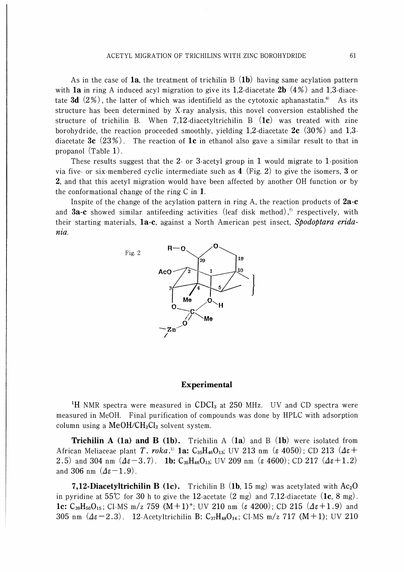As in the case of **1a**, the treatment of trichilin B  $(1b)$  having same acylation pattern with **1a** in ring A induced acyl migration to give its 1,2-diacetate **2b**  $(4%)$  and 1,3-diacetate 3d  $(2\%)$ , the latter of which was identifield as the cytotoxic aphanastatin.<sup>6</sup> As its structure has been determined by X-ray analysis, this novel conversion established the structure of trichilin B. When 7,12-diacetyltrichilin B  $(1c)$  was treated with zine borohydride, the reaction proceeded smoothly, yielding 1,2-diacetate  $2c$  (30%) and 1,3diacetate 3c  $(23\%)$ . The reaction of 1c in ethanol also gave a similar result to that in propanol (Table 1).

These results suggest that the 2- or 3-acetyl group in 1 would migrate to 1-position via five- or six-membered cyclic intermediate such as 4 (Fig. 2) to give the isomers, 3 or 2, and that this acetyl migration would have been affected by another OH function or by the conformational change of the ring C in 1.

Inspite of the change of the acylation pattern in ring A, the reaction products of  $2a-c$ and **3a-c** showed similar antifeeding activities (leaf disk method),<sup>7</sup> respectively, with their starting materials, la-c, against a North American pest insect, Spodoptara eridania.



#### Experimental

<sup>1</sup>H NMR spectra were measured in CDCI<sub>3</sub> at 250 MHz. UV and CD spectra were measured in MeOH. Final purification of compounds was done by HPLC with adsorption column using a MeOH/CH<sub>2</sub>Cl<sub>2</sub> solvent system.

**Trichilin A (1a) and B (1b).** Trichilin A (1a) and B (1b) were isolated from African Meliaceae plant T. roka.<sup>1</sup> **1a:** C<sub>35</sub>H<sub>46</sub>O<sub>13</sub>; UV 213 nm ( $\varepsilon$  4050); CD 213 ( $\Delta \varepsilon$ + 2.5) and 304 nm  $(4\varepsilon - 3.7)$ . **lb:** C<sub>35</sub>H<sub>46</sub>O<sub>13</sub>; UV 209 nm ( $\varepsilon$  4600); CD 217  $(4\varepsilon + 1.2)$ and 306 nm  $(\Delta \varepsilon - 1.9)$ .

**7,12-Diacetyltrichilin B (1c).** Trichilin B  $(1b, 15 \text{ mg})$  was acetylated with  $Ac_2O$ in pyridine at 55°C for 30 h to give the 12-acetate  $(2 \text{ mg})$  and 7,12-diacetate  $(1c, 8 \text{ mg})$ . **1c:**  $C_{39}H_{50}O_{15}$ ; CI-MS m/z 759 (M+1)<sup>+</sup>; UV 210 nm ( $\varepsilon$  4200); CD 215 ( $\Delta \varepsilon$ +1.9) and 305 nm  $(A\varepsilon-2.3)$ . 12-Acetyltrichilin B:  $C_{37}H_{48}O_{14}$ ; CI-MS m/z 717 (M+1); UV 210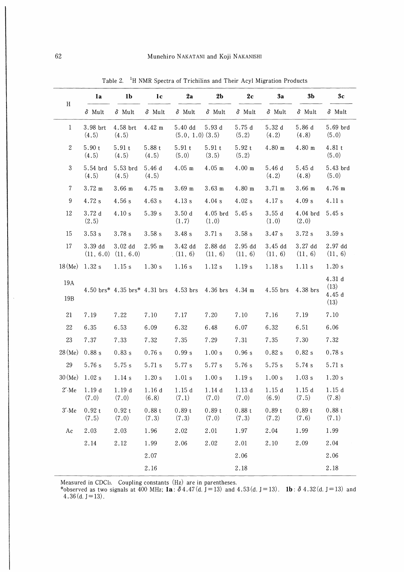|                  | 1a                | 1 <sub>b</sub>                                | 1 <sub>c</sub>       | 2a                                                    | 2 <sub>b</sub>      | 2c                 | 3a                   | 3b                   | 3c                             |
|------------------|-------------------|-----------------------------------------------|----------------------|-------------------------------------------------------|---------------------|--------------------|----------------------|----------------------|--------------------------------|
| H                | $\delta$ Mult     | $\delta$ Mult                                 | $\delta$ Mult        | $\delta$ Mult                                         | $\delta$ Mult       | $\delta$ Mult      | $\delta$ Mult        | $\delta$ Mult        | $\delta$ Mult                  |
| $\mathbf{1}$     | 3.98 brt<br>(4.5) | 4.58 brt<br>(4.5)                             | 4.42 m               | $5.40\,d$<br>$(5.0, 1.0)$ $(3.5)$                     | 5.93d               | 5.75d<br>(5.2)     | 5.32d<br>(4.2)       | 5.86 d<br>(4.8)      | 5.69 brd<br>(5.0)              |
| $\boldsymbol{2}$ | 5.90t<br>(4.5)    | 5.91t<br>(4.5)                                | 5.88t<br>(4.5)       | 5.91t<br>(5.0)                                        | 5.91t<br>(3.5)      | 5.92 t<br>(5.2)    | 4.80 m               | 4.80 m               | 4.81 t<br>(5.0)                |
| $\mathbf{3}$     | 5.54 brd<br>(4.5) | 5.53 brd<br>(4.5)                             | 5.46d<br>(4.5)       | $4.05$ m                                              | $4.05$ m            | $4.00 \;{\rm m}$   | 5.46d<br>(4.2)       | 5.45d<br>(4.8)       | 5.43 brd<br>(5.0)              |
| $\tau$           | $3.72 \text{ m}$  | $3.66$ m                                      | 4.75 m               | $3.69$ m                                              | $3.63$ m            | 4.80 m             | $3.71 \text{ m}$     | 3.66 m               | 4.76 m                         |
| 9                | 4.72 s            | 4.56 s                                        | 4.63 s               | 4.13 s                                                | 4.04 s              | 4.02 s             | $4.17~\mathrm{s}$    | 4.09 s               | 4.11 s                         |
| 12               | 3.72d<br>(2.5)    | 4.10 s                                        | 5.39 s               | 3.50d<br>(1.7)                                        | $4.05$ brd<br>(1.0) | 5.45 s             | 3.55d<br>(1.0)       | $4.04$ brd<br>(2.0)  | 5.45 s                         |
| 15               | 3.53s             | 3.78 s                                        | 3.58s                | 3.48 s                                                | 3.71 s              | 3.58s              | 3.47s                | 3.72s                | 3.59 s                         |
| 17               | 3.39 dd           | 3.02 <sub>dd</sub><br>$(11, 6.0)$ $(11, 6.0)$ | $2.95 \; \mathrm{m}$ | 3.42 dd<br>(11, 6)                                    | 2.88 dd<br>(11, 6)  | 2.95 dd<br>(11, 6) | $3.45$ dd<br>(11, 6) | $3.27$ dd<br>(11, 6) | 2.97 <sub>dd</sub><br>(11, 6)  |
| $18$ (Me)        | 1.32 s            | 1.15 s                                        | 1.30 s               | 1.16 s                                                | 1.12 s              | 1.19 s             | 1.18 s               | 1.11 s               | 1.20 s                         |
| 19A<br>19B       |                   |                                               |                      | 4.50 brs* 4.35 brs* 4.31 brs 4.53 brs 4.36 brs 4.34 m |                     |                    | $4.55$ brs           | 4.38 brs             | 4.31d<br>(13)<br>4.45d<br>(13) |
| 21               | 7.19              | 7.22                                          | 7.10                 | 7.17                                                  | 7.20                | 7.10               | 7.16                 | 7.19                 | 7.10                           |
| 22               | 6.35              | 6.53                                          | 6.09                 | 6.32                                                  | 6.48                | 6.07               | 6.32                 | 6.51                 | 6.06                           |
| 23               | 7.37              | 7.33                                          | 7.32                 | 7.35                                                  | 7.29                | 7.31               | 7.35                 | 7.30                 | 7.32                           |
| 28(Me)           | 0.88 s            | 0.83 s                                        | 0.76 s               | 0.99 s                                                | 1.00 s              | 0.96 s             | 0.82 s               | 0.82 s               | 0.78 s                         |
| 29               | 5.76s             | 5.75 s                                        | 5.71 s               | 5.77 s                                                | 5.77 s              | 5.76 s             | 5.75 s               | 5.74 s               | 5.71 s                         |
| $30$ (Me)        | 1.02 s            | 1.14 s                                        | 1.20 s               | 1.01 s                                                | 1.00 s              | 1.19 s             | 1.00 s               | 1.03 s               | 1.20 s                         |
| $2'$ -Me         | 1.19d<br>(7.0)    | 1.19d<br>(7.0)                                | 1.16d<br>(6.8)       | 1.15d<br>(7.1)                                        | 1.14d<br>(7.0)      | 1.13d<br>(7.0)     | 1.15d<br>(6.9)       | 1.15d<br>(7.5)       | 1.15d<br>(7.8)                 |
| $3'$ -Me         | 0.92t<br>(7.5)    | 0.92t<br>(7.0)                                | 0.88t<br>(7.3)       | 0.89t<br>(7.3)                                        | 0.89t<br>(7.0)      | 0.88t<br>(7.3)     | 0.89 t<br>(7.2)      | 0.89t<br>(7.6)       | 0.88 t<br>(7.1)                |
| Ac               | 2.03              | 2.03                                          | 1.96                 | 2.02                                                  | 2.01                | 1.97               | 2.04                 | 1.99                 | 1.99                           |
|                  | 2.14              | 2.12                                          | 1.99                 | 2.06                                                  | 2.02                | 2.01               | 2.10                 | 2.09                 | 2.04                           |
|                  |                   |                                               | 2.07                 |                                                       |                     | 2.06               |                      |                      | 2.06                           |
|                  |                   |                                               | 2.16                 |                                                       |                     | 2.18               |                      |                      | 2.18                           |

Table 2. <sup>1</sup>H NMR Spectra of Trichilins and Their Acyl Migration Products

Measured in CDCh. Coupling constants (Hz) are in parentheses.

\*observed as two signals at 400 MHz; la:  $\delta$ 4.47(d.J=13) and 4.53(d.J=13). lb:  $\delta$  4.32(d.J=13) and  $4.36$  (d. J = 13).